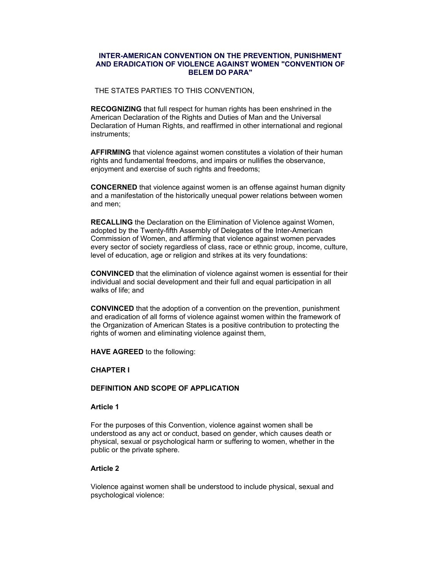#### **INTER-AMERICAN CONVENTION ON THE PREVENTION, PUNISHMENT AND ERADICATION OF VIOLENCE AGAINST WOMEN "CONVENTION OF BELEM DO PARA"**

#### THE STATES PARTIES TO THIS CONVENTION,

**RECOGNIZING** that full respect for human rights has been enshrined in the American Declaration of the Rights and Duties of Man and the Universal Declaration of Human Rights, and reaffirmed in other international and regional instruments;

**AFFIRMING** that violence against women constitutes a violation of their human rights and fundamental freedoms, and impairs or nullifies the observance, enjoyment and exercise of such rights and freedoms;

**CONCERNED** that violence against women is an offense against human dignity and a manifestation of the historically unequal power relations between women and men;

**RECALLING** the Declaration on the Elimination of Violence against Women, adopted by the Twenty-fifth Assembly of Delegates of the Inter-American Commission of Women, and affirming that violence against women pervades every sector of society regardless of class, race or ethnic group, income, culture, level of education, age or religion and strikes at its very foundations:

**CONVINCED** that the elimination of violence against women is essential for their individual and social development and their full and equal participation in all walks of life; and

**CONVINCED** that the adoption of a convention on the prevention, punishment and eradication of all forms of violence against women within the framework of the Organization of American States is a positive contribution to protecting the rights of women and eliminating violence against them,

**HAVE AGREED** to the following:

## **CHAPTER I**

## **DEFINITION AND SCOPE OF APPLICATION**

#### **Article 1**

For the purposes of this Convention, violence against women shall be understood as any act or conduct, based on gender, which causes death or physical, sexual or psychological harm or suffering to women, whether in the public or the private sphere.

#### **Article 2**

Violence against women shall be understood to include physical, sexual and psychological violence: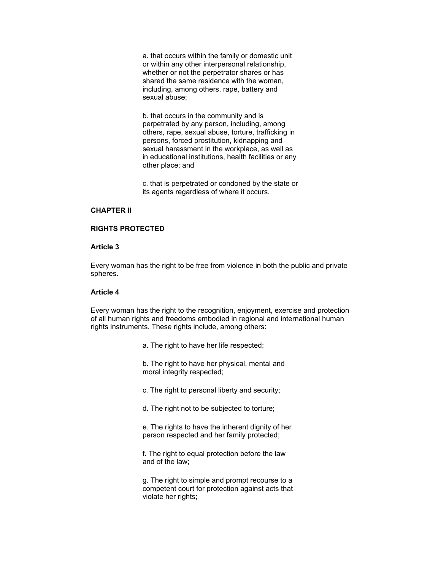a. that occurs within the family or domestic unit or within any other interpersonal relationship, whether or not the perpetrator shares or has shared the same residence with the woman, including, among others, rape, battery and sexual abuse;

b. that occurs in the community and is perpetrated by any person, including, among others, rape, sexual abuse, torture, trafficking in persons, forced prostitution, kidnapping and sexual harassment in the workplace, as well as in educational institutions, health facilities or any other place; and

c. that is perpetrated or condoned by the state or its agents regardless of where it occurs.

### **CHAPTER II**

#### **RIGHTS PROTECTED**

## **Article 3**

Every woman has the right to be free from violence in both the public and private spheres.

#### **Article 4**

Every woman has the right to the recognition, enjoyment, exercise and protection of all human rights and freedoms embodied in regional and international human rights instruments. These rights include, among others:

a. The right to have her life respected;

b. The right to have her physical, mental and moral integrity respected;

- c. The right to personal liberty and security;
- d. The right not to be subjected to torture;

e. The rights to have the inherent dignity of her person respected and her family protected;

f. The right to equal protection before the law and of the law;

g. The right to simple and prompt recourse to a competent court for protection against acts that violate her rights;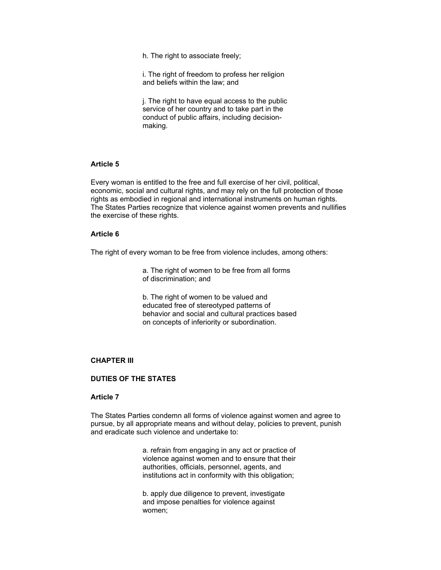h. The right to associate freely;

i. The right of freedom to profess her religion and beliefs within the law; and

j. The right to have equal access to the public service of her country and to take part in the conduct of public affairs, including decisionmaking.

# **Article 5**

Every woman is entitled to the free and full exercise of her civil, political, economic, social and cultural rights, and may rely on the full protection of those rights as embodied in regional and international instruments on human rights. The States Parties recognize that violence against women prevents and nullifies the exercise of these rights.

#### **Article 6**

The right of every woman to be free from violence includes, among others:

a. The right of women to be free from all forms of discrimination; and

b. The right of women to be valued and educated free of stereotyped patterns of behavior and social and cultural practices based on concepts of inferiority or subordination.

## **CHAPTER III**

### **DUTIES OF THE STATES**

## **Article 7**

The States Parties condemn all forms of violence against women and agree to pursue, by all appropriate means and without delay, policies to prevent, punish and eradicate such violence and undertake to:

> a. refrain from engaging in any act or practice of violence against women and to ensure that their authorities, officials, personnel, agents, and institutions act in conformity with this obligation;

b. apply due diligence to prevent, investigate and impose penalties for violence against women;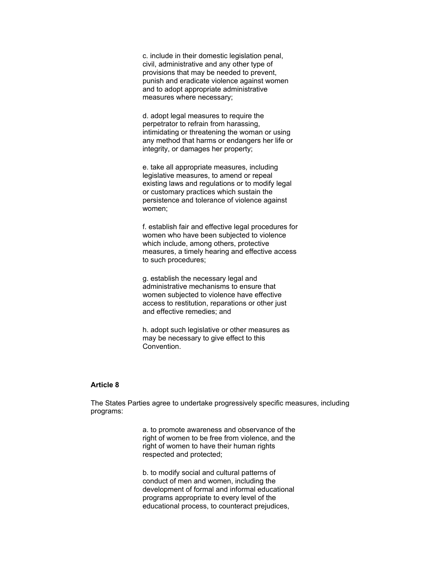c. include in their domestic legislation penal, civil, administrative and any other type of provisions that may be needed to prevent, punish and eradicate violence against women and to adopt appropriate administrative measures where necessary;

d. adopt legal measures to require the perpetrator to refrain from harassing, intimidating or threatening the woman or using any method that harms or endangers her life or integrity, or damages her property;

e. take all appropriate measures, including legislative measures, to amend or repeal existing laws and regulations or to modify legal or customary practices which sustain the persistence and tolerance of violence against women;

f. establish fair and effective legal procedures for women who have been subjected to violence which include, among others, protective measures, a timely hearing and effective access to such procedures;

g. establish the necessary legal and administrative mechanisms to ensure that women subjected to violence have effective access to restitution, reparations or other just and effective remedies; and

h. adopt such legislative or other measures as may be necessary to give effect to this **Convention** 

## **Article 8**

The States Parties agree to undertake progressively specific measures, including programs:

> a. to promote awareness and observance of the right of women to be free from violence, and the right of women to have their human rights respected and protected;

> b. to modify social and cultural patterns of conduct of men and women, including the development of formal and informal educational programs appropriate to every level of the educational process, to counteract prejudices,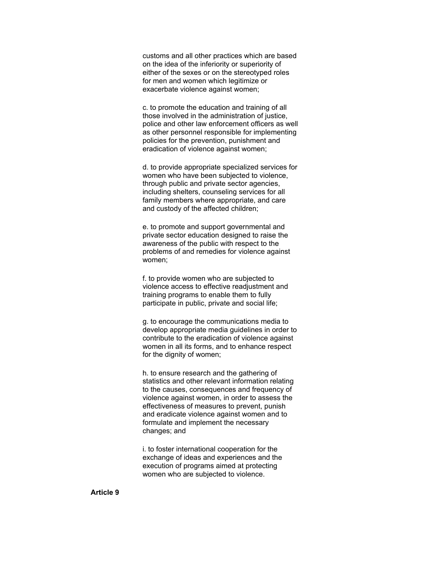customs and all other practices which are based on the idea of the inferiority or superiority of either of the sexes or on the stereotyped roles for men and women which legitimize or exacerbate violence against women;

c. to promote the education and training of all those involved in the administration of justice, police and other law enforcement officers as well as other personnel responsible for implementing policies for the prevention, punishment and eradication of violence against women;

d. to provide appropriate specialized services for women who have been subjected to violence, through public and private sector agencies, including shelters, counseling services for all family members where appropriate, and care and custody of the affected children;

e. to promote and support governmental and private sector education designed to raise the awareness of the public with respect to the problems of and remedies for violence against women;

f. to provide women who are subjected to violence access to effective readjustment and training programs to enable them to fully participate in public, private and social life;

g. to encourage the communications media to develop appropriate media guidelines in order to contribute to the eradication of violence against women in all its forms, and to enhance respect for the dignity of women;

h. to ensure research and the gathering of statistics and other relevant information relating to the causes, consequences and frequency of violence against women, in order to assess the effectiveness of measures to prevent, punish and eradicate violence against women and to formulate and implement the necessary changes; and

i. to foster international cooperation for the exchange of ideas and experiences and the execution of programs aimed at protecting women who are subjected to violence.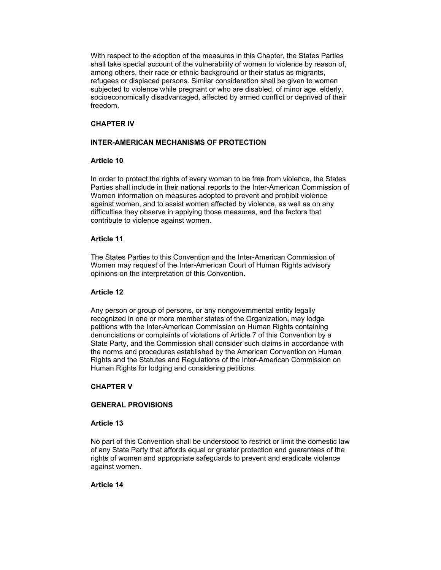With respect to the adoption of the measures in this Chapter, the States Parties shall take special account of the vulnerability of women to violence by reason of, among others, their race or ethnic background or their status as migrants, refugees or displaced persons. Similar consideration shall be given to women subjected to violence while pregnant or who are disabled, of minor age, elderly, socioeconomically disadvantaged, affected by armed conflict or deprived of their freedom.

## **CHAPTER IV**

## **INTER-AMERICAN MECHANISMS OF PROTECTION**

## **Article 10**

In order to protect the rights of every woman to be free from violence, the States Parties shall include in their national reports to the Inter-American Commission of Women information on measures adopted to prevent and prohibit violence against women, and to assist women affected by violence, as well as on any difficulties they observe in applying those measures, and the factors that contribute to violence against women.

## **Article 11**

The States Parties to this Convention and the Inter-American Commission of Women may request of the Inter-American Court of Human Rights advisory opinions on the interpretation of this Convention.

### **Article 12**

Any person or group of persons, or any nongovernmental entity legally recognized in one or more member states of the Organization, may lodge petitions with the Inter-American Commission on Human Rights containing denunciations or complaints of violations of Article 7 of this Convention by a State Party, and the Commission shall consider such claims in accordance with the norms and procedures established by the American Convention on Human Rights and the Statutes and Regulations of the Inter-American Commission on Human Rights for lodging and considering petitions.

## **CHAPTER V**

### **GENERAL PROVISIONS**

### **Article 13**

No part of this Convention shall be understood to restrict or limit the domestic law of any State Party that affords equal or greater protection and guarantees of the rights of women and appropriate safeguards to prevent and eradicate violence against women.

### **Article 14**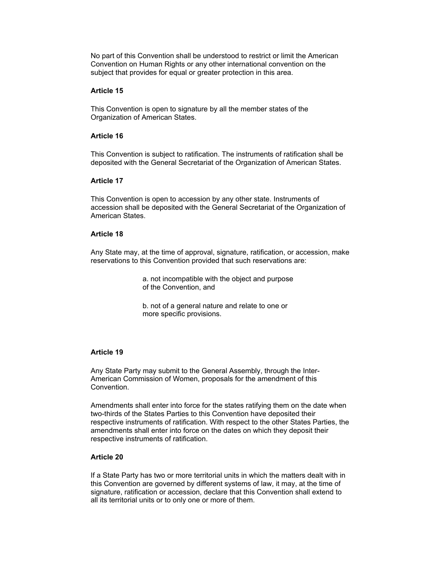No part of this Convention shall be understood to restrict or limit the American Convention on Human Rights or any other international convention on the subject that provides for equal or greater protection in this area.

#### **Article 15**

This Convention is open to signature by all the member states of the Organization of American States.

#### **Article 16**

This Convention is subject to ratification. The instruments of ratification shall be deposited with the General Secretariat of the Organization of American States.

#### **Article 17**

This Convention is open to accession by any other state. Instruments of accession shall be deposited with the General Secretariat of the Organization of American States.

#### **Article 18**

Any State may, at the time of approval, signature, ratification, or accession, make reservations to this Convention provided that such reservations are:

> a. not incompatible with the object and purpose of the Convention, and

b. not of a general nature and relate to one or more specific provisions.

## **Article 19**

Any State Party may submit to the General Assembly, through the Inter-American Commission of Women, proposals for the amendment of this Convention.

Amendments shall enter into force for the states ratifying them on the date when two-thirds of the States Parties to this Convention have deposited their respective instruments of ratification. With respect to the other States Parties, the amendments shall enter into force on the dates on which they deposit their respective instruments of ratification.

## **Article 20**

If a State Party has two or more territorial units in which the matters dealt with in this Convention are governed by different systems of law, it may, at the time of signature, ratification or accession, declare that this Convention shall extend to all its territorial units or to only one or more of them.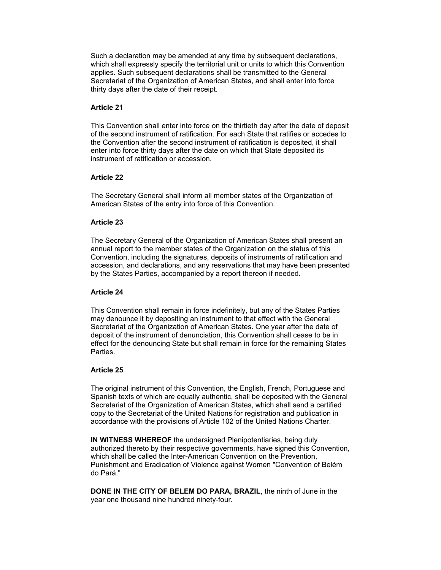Such a declaration may be amended at any time by subsequent declarations, which shall expressly specify the territorial unit or units to which this Convention applies. Such subsequent declarations shall be transmitted to the General Secretariat of the Organization of American States, and shall enter into force thirty days after the date of their receipt.

#### **Article 21**

This Convention shall enter into force on the thirtieth day after the date of deposit of the second instrument of ratification. For each State that ratifies or accedes to the Convention after the second instrument of ratification is deposited, it shall enter into force thirty days after the date on which that State deposited its instrument of ratification or accession.

### **Article 22**

The Secretary General shall inform all member states of the Organization of American States of the entry into force of this Convention.

## **Article 23**

The Secretary General of the Organization of American States shall present an annual report to the member states of the Organization on the status of this Convention, including the signatures, deposits of instruments of ratification and accession, and declarations, and any reservations that may have been presented by the States Parties, accompanied by a report thereon if needed.

#### **Article 24**

This Convention shall remain in force indefinitely, but any of the States Parties may denounce it by depositing an instrument to that effect with the General Secretariat of the Organization of American States. One year after the date of deposit of the instrument of denunciation, this Convention shall cease to be in effect for the denouncing State but shall remain in force for the remaining States Parties.

#### **Article 25**

The original instrument of this Convention, the English, French, Portuguese and Spanish texts of which are equally authentic, shall be deposited with the General Secretariat of the Organization of American States, which shall send a certified copy to the Secretariat of the United Nations for registration and publication in accordance with the provisions of Article 102 of the United Nations Charter.

**IN WITNESS WHEREOF** the undersigned Plenipotentiaries, being duly authorized thereto by their respective governments, have signed this Convention, which shall be called the Inter-American Convention on the Prevention, Punishment and Eradication of Violence against Women "Convention of Belém do Pará."

**DONE IN THE CITY OF BELEM DO PARA, BRAZIL**, the ninth of June in the year one thousand nine hundred ninety-four.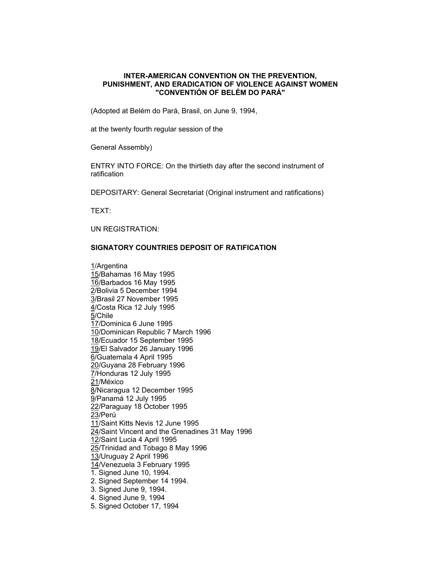#### **INTER-AMERICAN CONVENTION ON THE PREVENTION, PUNISHMENT, AND ERADICATION OF VIOLENCE AGAINST WOMEN "CONVENTIÓN OF BELÉM DO PARÁ"**

(Adopted at Belém do Pará, Brasil, on June 9, 1994,

at the twenty fourth regular session of the

General Assembly)

ENTRY INTO FORCE: On the thirtieth day after the second instrument of ratification

DEPOSITARY: General Secretariat (Original instrument and ratifications)

TEXT:

UN REGISTRATION:

### **SIGNATORY COUNTRIES DEPOSIT OF RATIFICATION**

1/Argentina 15/Bahamas 16 May 1995 16/Barbados 16 May 1995 2/Bolivia 5 December 1994 3/Brasil 27 November 1995 4/Costa Rica 12 July 1995 5/Chile 17/Dominica 6 June 1995 10/Dominican Republic 7 March 1996 18/Ecuador 15 September 1995 19/El Salvador 26 January 1996 6/Guatemala 4 April 1995 20/Guyana 28 February 1996 7/Honduras 12 July 1995 21/México 8/Nicaragua 12 December 1995 9/Panamá 12 July 1995 22/Paraguay 18 October 1995 23/Perú 11/Saint Kitts Nevis 12 June 1995 24/Saint Vincent and the Grenadines 31 May 1996 12/Saint Lucia 4 April 1995 25/Trinidad and Tobago 8 May 1996 13/Uruguay 2 April 1996 14/Venezuela 3 February 1995 1. Signed June 10, 1994. 2. Signed September 14 1994. 3. Signed June 9, 1994. 4. Signed June 9, 1994 5. Signed October 17, 1994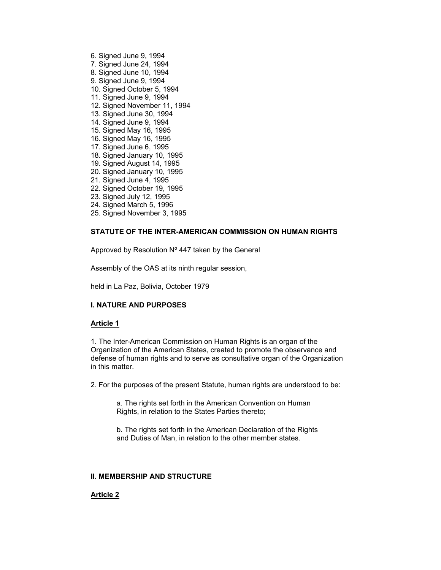6. Signed June 9, 1994 7. Signed June 24, 1994 8. Signed June 10, 1994 9. Signed June 9, 1994 10. Signed October 5, 1994 11. Signed June 9, 1994 12. Signed November 11, 1994 13. Signed June 30, 1994 14. Signed June 9, 1994 15. Signed May 16, 1995 16. Signed May 16, 1995 17. Signed June 6, 1995 18. Signed January 10, 1995 19. Signed August 14, 1995 20. Signed January 10, 1995 21. Signed June 4, 1995 22. Signed October 19, 1995 23. Signed July 12, 1995 24. Signed March 5, 1996 25. Signed November 3, 1995

## **STATUTE OF THE INTER-AMERICAN COMMISSION ON HUMAN RIGHTS**

Approved by Resolution Nº 447 taken by the General

Assembly of the OAS at its ninth regular session,

held in La Paz, Bolivia, October 1979

## **I. NATURE AND PURPOSES**

#### **Article 1**

1. The Inter-American Commission on Human Rights is an organ of the Organization of the American States, created to promote the observance and defense of human rights and to serve as consultative organ of the Organization in this matter.

2. For the purposes of the present Statute, human rights are understood to be:

a. The rights set forth in the American Convention on Human Rights, in relation to the States Parties thereto;

b. The rights set forth in the American Declaration of the Rights and Duties of Man, in relation to the other member states.

### **II. MEMBERSHIP AND STRUCTURE**

### **Article 2**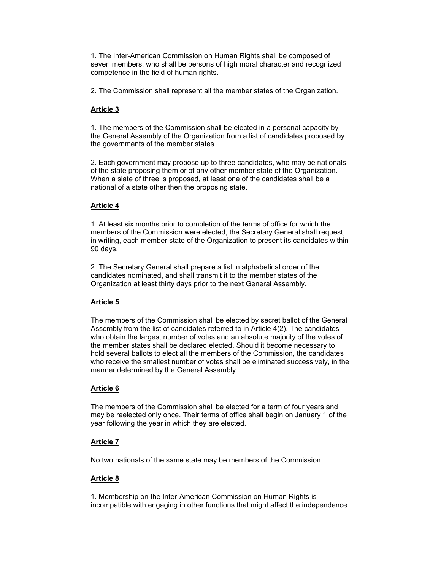1. The Inter-American Commission on Human Rights shall be composed of seven members, who shall be persons of high moral character and recognized competence in the field of human rights.

2. The Commission shall represent all the member states of the Organization.

# **Article 3**

1. The members of the Commission shall be elected in a personal capacity by the General Assembly of the Organization from a list of candidates proposed by the governments of the member states.

2. Each government may propose up to three candidates, who may be nationals of the state proposing them or of any other member state of the Organization. When a slate of three is proposed, at least one of the candidates shall be a national of a state other then the proposing state.

# **Article 4**

1. At least six months prior to completion of the terms of office for which the members of the Commission were elected, the Secretary General shall request, in writing, each member state of the Organization to present its candidates within 90 days.

2. The Secretary General shall prepare a list in alphabetical order of the candidates nominated, and shall transmit it to the member states of the Organization at least thirty days prior to the next General Assembly.

## **Article 5**

The members of the Commission shall be elected by secret ballot of the General Assembly from the list of candidates referred to in Article 4(2). The candidates who obtain the largest number of votes and an absolute majority of the votes of the member states shall be declared elected. Should it become necessary to hold several ballots to elect all the members of the Commission, the candidates who receive the smallest number of votes shall be eliminated successively, in the manner determined by the General Assembly.

## **Article 6**

The members of the Commission shall be elected for a term of four years and may be reelected only once. Their terms of office shall begin on January 1 of the year following the year in which they are elected.

## **Article 7**

No two nationals of the same state may be members of the Commission.

## **Article 8**

1. Membership on the Inter-American Commission on Human Rights is incompatible with engaging in other functions that might affect the independence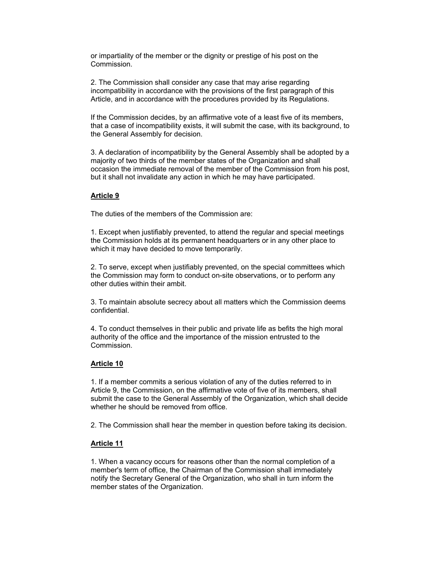or impartiality of the member or the dignity or prestige of his post on the Commission.

2. The Commission shall consider any case that may arise regarding incompatibility in accordance with the provisions of the first paragraph of this Article, and in accordance with the procedures provided by its Regulations.

If the Commission decides, by an affirmative vote of a least five of its members, that a case of incompatibility exists, it will submit the case, with its background, to the General Assembly for decision.

3. A declaration of incompatibility by the General Assembly shall be adopted by a majority of two thirds of the member states of the Organization and shall occasion the immediate removal of the member of the Commission from his post, but it shall not invalidate any action in which he may have participated.

### **Article 9**

The duties of the members of the Commission are:

1. Except when justifiably prevented, to attend the regular and special meetings the Commission holds at its permanent headquarters or in any other place to which it may have decided to move temporarily.

2. To serve, except when justifiably prevented, on the special committees which the Commission may form to conduct on-site observations, or to perform any other duties within their ambit.

3. To maintain absolute secrecy about all matters which the Commission deems confidential.

4. To conduct themselves in their public and private life as befits the high moral authority of the office and the importance of the mission entrusted to the Commission.

### **Article 10**

1. If a member commits a serious violation of any of the duties referred to in Article 9, the Commission, on the affirmative vote of five of its members, shall submit the case to the General Assembly of the Organization, which shall decide whether he should be removed from office.

2. The Commission shall hear the member in question before taking its decision.

## **Article 11**

1. When a vacancy occurs for reasons other than the normal completion of a member's term of office, the Chairman of the Commission shall immediately notify the Secretary General of the Organization, who shall in turn inform the member states of the Organization.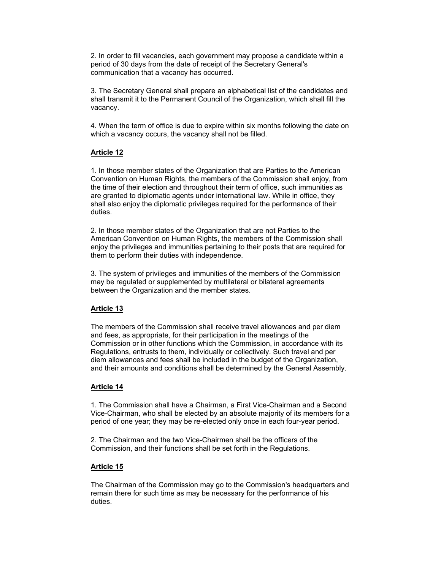2. In order to fill vacancies, each government may propose a candidate within a period of 30 days from the date of receipt of the Secretary General's communication that a vacancy has occurred.

3. The Secretary General shall prepare an alphabetical list of the candidates and shall transmit it to the Permanent Council of the Organization, which shall fill the vacancy.

4. When the term of office is due to expire within six months following the date on which a vacancy occurs, the vacancy shall not be filled.

## **Article 12**

1. In those member states of the Organization that are Parties to the American Convention on Human Rights, the members of the Commission shall enjoy, from the time of their election and throughout their term of office, such immunities as are granted to diplomatic agents under international law. While in office, they shall also enjoy the diplomatic privileges required for the performance of their duties.

2. In those member states of the Organization that are not Parties to the American Convention on Human Rights, the members of the Commission shall enjoy the privileges and immunities pertaining to their posts that are required for them to perform their duties with independence.

3. The system of privileges and immunities of the members of the Commission may be regulated or supplemented by multilateral or bilateral agreements between the Organization and the member states.

## **Article 13**

The members of the Commission shall receive travel allowances and per diem and fees, as appropriate, for their participation in the meetings of the Commission or in other functions which the Commission, in accordance with its Regulations, entrusts to them, individually or collectively. Such travel and per diem allowances and fees shall be included in the budget of the Organization, and their amounts and conditions shall be determined by the General Assembly.

## **Article 14**

1. The Commission shall have a Chairman, a First Vice-Chairman and a Second Vice-Chairman, who shall be elected by an absolute majority of its members for a period of one year; they may be re-elected only once in each four-year period.

2. The Chairman and the two Vice-Chairmen shall be the officers of the Commission, and their functions shall be set forth in the Regulations.

### **Article 15**

The Chairman of the Commission may go to the Commission's headquarters and remain there for such time as may be necessary for the performance of his duties.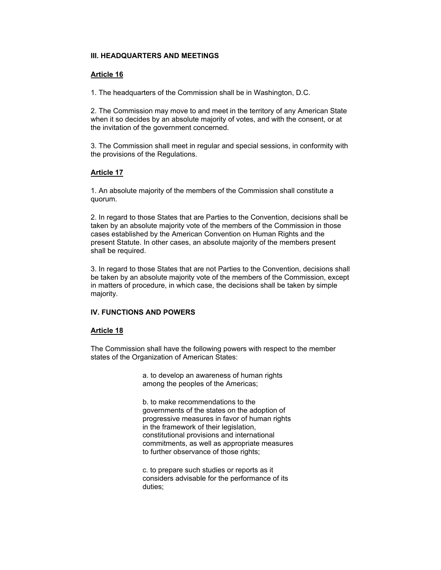## **III. HEADQUARTERS AND MEETINGS**

## **Article 16**

1. The headquarters of the Commission shall be in Washington, D.C.

2. The Commission may move to and meet in the territory of any American State when it so decides by an absolute majority of votes, and with the consent, or at the invitation of the government concerned.

3. The Commission shall meet in regular and special sessions, in conformity with the provisions of the Regulations.

## **Article 17**

1. An absolute majority of the members of the Commission shall constitute a quorum.

2. In regard to those States that are Parties to the Convention, decisions shall be taken by an absolute majority vote of the members of the Commission in those cases established by the American Convention on Human Rights and the present Statute. In other cases, an absolute majority of the members present shall be required.

3. In regard to those States that are not Parties to the Convention, decisions shall be taken by an absolute majority vote of the members of the Commission, except in matters of procedure, in which case, the decisions shall be taken by simple majority.

## **IV. FUNCTIONS AND POWERS**

### **Article 18**

The Commission shall have the following powers with respect to the member states of the Organization of American States:

> a. to develop an awareness of human rights among the peoples of the Americas;

b. to make recommendations to the governments of the states on the adoption of progressive measures in favor of human rights in the framework of their legislation, constitutional provisions and international commitments, as well as appropriate measures to further observance of those rights;

c. to prepare such studies or reports as it considers advisable for the performance of its duties;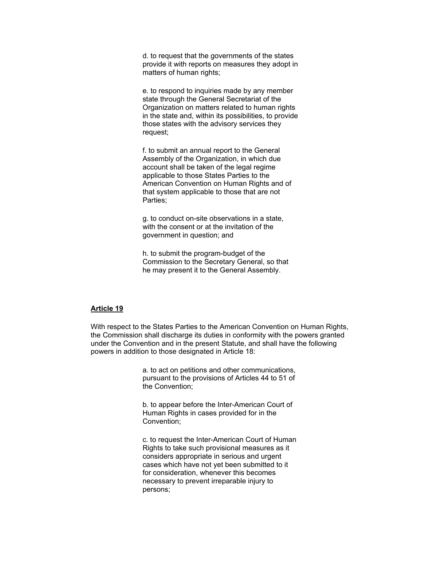d. to request that the governments of the states provide it with reports on measures they adopt in matters of human rights;

e. to respond to inquiries made by any member state through the General Secretariat of the Organization on matters related to human rights in the state and, within its possibilities, to provide those states with the advisory services they request;

f. to submit an annual report to the General Assembly of the Organization, in which due account shall be taken of the legal regime applicable to those States Parties to the American Convention on Human Rights and of that system applicable to those that are not Parties;

g. to conduct on-site observations in a state, with the consent or at the invitation of the government in question; and

h. to submit the program-budget of the Commission to the Secretary General, so that he may present it to the General Assembly.

## **Article 19**

With respect to the States Parties to the American Convention on Human Rights, the Commission shall discharge its duties in conformity with the powers granted under the Convention and in the present Statute, and shall have the following powers in addition to those designated in Article 18:

> a. to act on petitions and other communications, pursuant to the provisions of Articles 44 to 51 of the Convention;

b. to appear before the Inter-American Court of Human Rights in cases provided for in the Convention;

c. to request the Inter-American Court of Human Rights to take such provisional measures as it considers appropriate in serious and urgent cases which have not yet been submitted to it for consideration, whenever this becomes necessary to prevent irreparable injury to persons;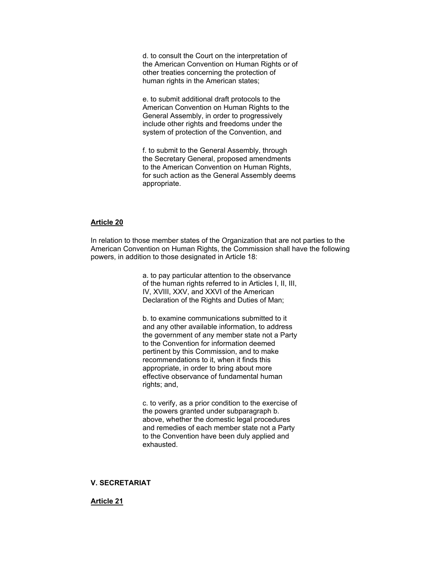d. to consult the Court on the interpretation of the American Convention on Human Rights or of other treaties concerning the protection of human rights in the American states;

e. to submit additional draft protocols to the American Convention on Human Rights to the General Assembly, in order to progressively include other rights and freedoms under the system of protection of the Convention, and

f. to submit to the General Assembly, through the Secretary General, proposed amendments to the American Convention on Human Rights, for such action as the General Assembly deems appropriate.

#### **Article 20**

In relation to those member states of the Organization that are not parties to the American Convention on Human Rights, the Commission shall have the following powers, in addition to those designated in Article 18:

> a. to pay particular attention to the observance of the human rights referred to in Articles I, II, III, IV, XVIII, XXV, and XXVI of the American Declaration of the Rights and Duties of Man;

> b. to examine communications submitted to it and any other available information, to address the government of any member state not a Party to the Convention for information deemed pertinent by this Commission, and to make recommendations to it, when it finds this appropriate, in order to bring about more effective observance of fundamental human rights; and,

> c. to verify, as a prior condition to the exercise of the powers granted under subparagraph b. above, whether the domestic legal procedures and remedies of each member state not a Party to the Convention have been duly applied and exhausted.

**V. SECRETARIAT**

#### **Article 21**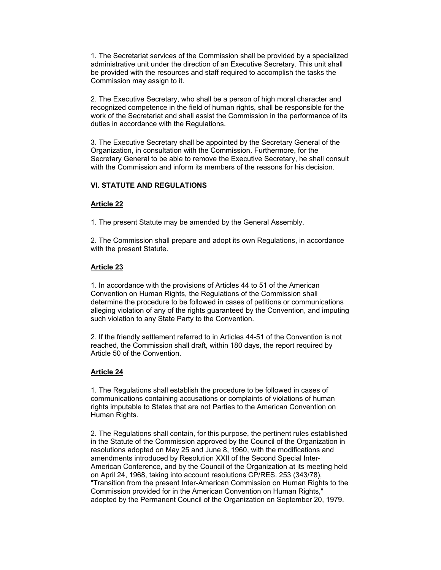1. The Secretariat services of the Commission shall be provided by a specialized administrative unit under the direction of an Executive Secretary. This unit shall be provided with the resources and staff required to accomplish the tasks the Commission may assign to it.

2. The Executive Secretary, who shall be a person of high moral character and recognized competence in the field of human rights, shall be responsible for the work of the Secretariat and shall assist the Commission in the performance of its duties in accordance with the Regulations.

3. The Executive Secretary shall be appointed by the Secretary General of the Organization, in consultation with the Commission. Furthermore, for the Secretary General to be able to remove the Executive Secretary, he shall consult with the Commission and inform its members of the reasons for his decision.

## **VI. STATUTE AND REGULATIONS**

## **Article 22**

1. The present Statute may be amended by the General Assembly.

2. The Commission shall prepare and adopt its own Regulations, in accordance with the present Statute.

## **Article 23**

1. In accordance with the provisions of Articles 44 to 51 of the American Convention on Human Rights, the Regulations of the Commission shall determine the procedure to be followed in cases of petitions or communications alleging violation of any of the rights guaranteed by the Convention, and imputing such violation to any State Party to the Convention.

2. If the friendly settlement referred to in Articles 44-51 of the Convention is not reached, the Commission shall draft, within 180 days, the report required by Article 50 of the Convention.

## **Article 24**

1. The Regulations shall establish the procedure to be followed in cases of communications containing accusations or complaints of violations of human rights imputable to States that are not Parties to the American Convention on Human Rights.

2. The Regulations shall contain, for this purpose, the pertinent rules established in the Statute of the Commission approved by the Council of the Organization in resolutions adopted on May 25 and June 8, 1960, with the modifications and amendments introduced by Resolution XXII of the Second Special Inter-American Conference, and by the Council of the Organization at its meeting held on April 24, 1968, taking into account resolutions CP/RES. 253 (343/78), "Transition from the present Inter-American Commission on Human Rights to the Commission provided for in the American Convention on Human Rights," adopted by the Permanent Council of the Organization on September 20, 1979.